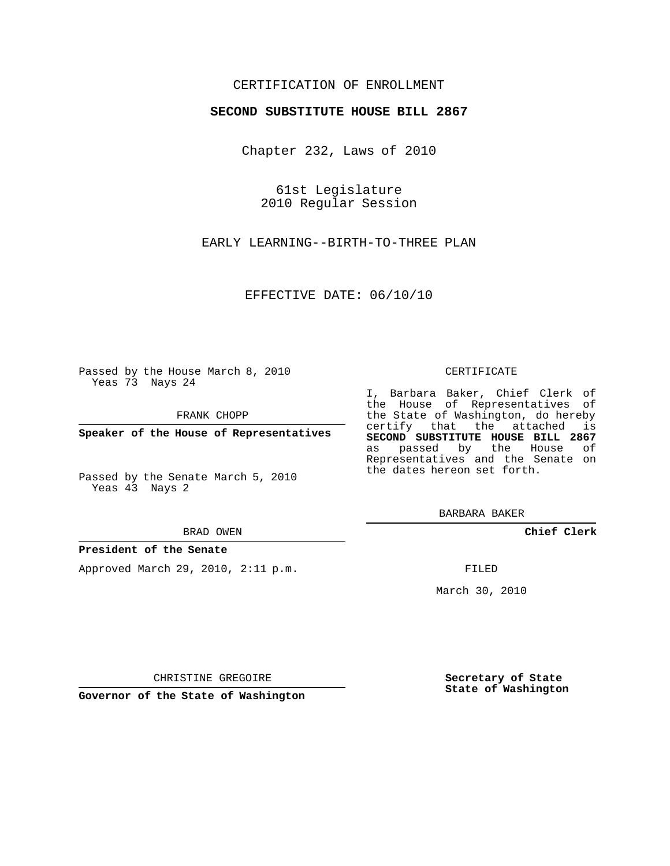### CERTIFICATION OF ENROLLMENT

### **SECOND SUBSTITUTE HOUSE BILL 2867**

Chapter 232, Laws of 2010

61st Legislature 2010 Regular Session

EARLY LEARNING--BIRTH-TO-THREE PLAN

EFFECTIVE DATE: 06/10/10

Passed by the House March 8, 2010 Yeas 73 Nays 24

FRANK CHOPP

**Speaker of the House of Representatives**

Passed by the Senate March 5, 2010 Yeas 43 Nays 2

#### BRAD OWEN

#### **President of the Senate**

Approved March 29, 2010, 2:11 p.m.

#### CERTIFICATE

I, Barbara Baker, Chief Clerk of the House of Representatives of the State of Washington, do hereby certify that the attached is **SECOND SUBSTITUTE HOUSE BILL 2867** as passed by the House of Representatives and the Senate on the dates hereon set forth.

BARBARA BAKER

**Chief Clerk**

FILED

March 30, 2010

**Secretary of State State of Washington**

CHRISTINE GREGOIRE

**Governor of the State of Washington**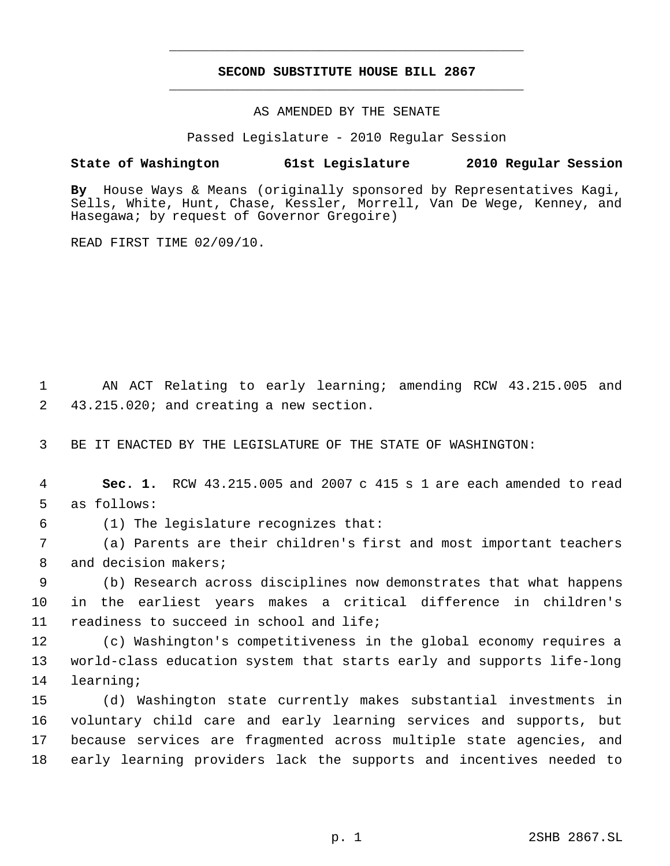# **SECOND SUBSTITUTE HOUSE BILL 2867** \_\_\_\_\_\_\_\_\_\_\_\_\_\_\_\_\_\_\_\_\_\_\_\_\_\_\_\_\_\_\_\_\_\_\_\_\_\_\_\_\_\_\_\_\_

\_\_\_\_\_\_\_\_\_\_\_\_\_\_\_\_\_\_\_\_\_\_\_\_\_\_\_\_\_\_\_\_\_\_\_\_\_\_\_\_\_\_\_\_\_

### AS AMENDED BY THE SENATE

Passed Legislature - 2010 Regular Session

## **State of Washington 61st Legislature 2010 Regular Session**

**By** House Ways & Means (originally sponsored by Representatives Kagi, Sells, White, Hunt, Chase, Kessler, Morrell, Van De Wege, Kenney, and Hasegawa; by request of Governor Gregoire)

READ FIRST TIME 02/09/10.

 1 AN ACT Relating to early learning; amending RCW 43.215.005 and 2 43.215.020; and creating a new section.

3 BE IT ENACTED BY THE LEGISLATURE OF THE STATE OF WASHINGTON:

 4 **Sec. 1.** RCW 43.215.005 and 2007 c 415 s 1 are each amended to read 5 as follows:

6 (1) The legislature recognizes that:

 7 (a) Parents are their children's first and most important teachers 8 and decision makers;

 9 (b) Research across disciplines now demonstrates that what happens 10 in the earliest years makes a critical difference in children's 11 readiness to succeed in school and life;

12 (c) Washington's competitiveness in the global economy requires a 13 world-class education system that starts early and supports life-long 14 learning;

 (d) Washington state currently makes substantial investments in voluntary child care and early learning services and supports, but because services are fragmented across multiple state agencies, and early learning providers lack the supports and incentives needed to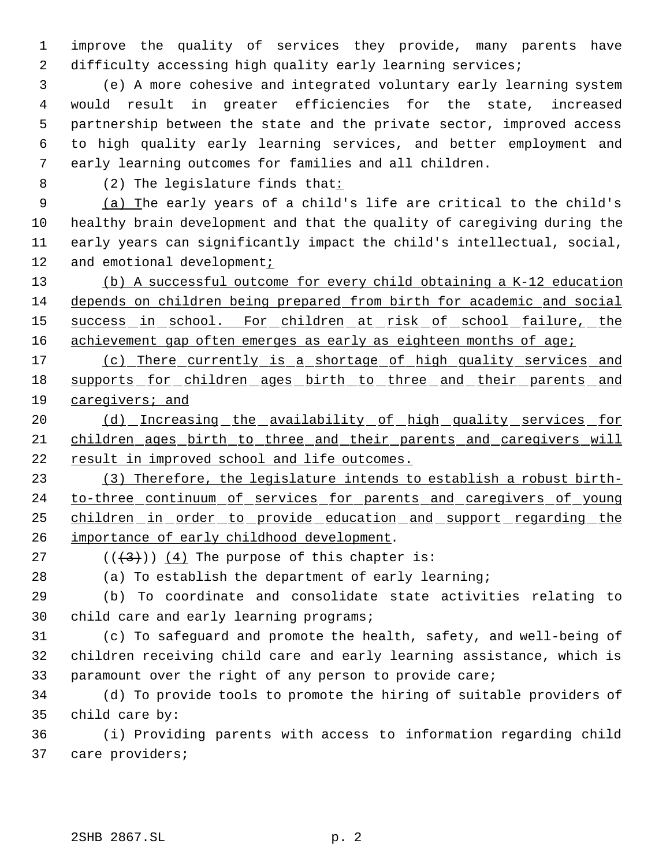improve the quality of services they provide, many parents have 2 difficulty accessing high quality early learning services;

 (e) A more cohesive and integrated voluntary early learning system would result in greater efficiencies for the state, increased partnership between the state and the private sector, improved access to high quality early learning services, and better employment and early learning outcomes for families and all children.

(2) The legislature finds that:

 (a) The early years of a child's life are critical to the child's healthy brain development and that the quality of caregiving during the early years can significantly impact the child's intellectual, social, 12 and emotional development;

 (b) A successful outcome for every child obtaining a K-12 education depends on children being prepared from birth for academic and social 15 success in school. For children at risk of school failure, the 16 achievement gap often emerges as early as eighteen months of age;

 (c) There currently is a shortage of high quality services and 18 supports for children ages birth to three and their parents and caregivers; and

20 (d) Increasing the availability of high quality services for children ages birth to three and their parents and caregivers will result in improved school and life outcomes.

 (3) Therefore, the legislature intends to establish a robust birth-24 to-three continuum of services for parents and caregivers of young children in order to provide education and support regarding the importance of early childhood development.

27  $((+3))$   $(4)$  The purpose of this chapter is:

(a) To establish the department of early learning;

 (b) To coordinate and consolidate state activities relating to child care and early learning programs;

 (c) To safeguard and promote the health, safety, and well-being of children receiving child care and early learning assistance, which is paramount over the right of any person to provide care;

 (d) To provide tools to promote the hiring of suitable providers of child care by:

 (i) Providing parents with access to information regarding child care providers;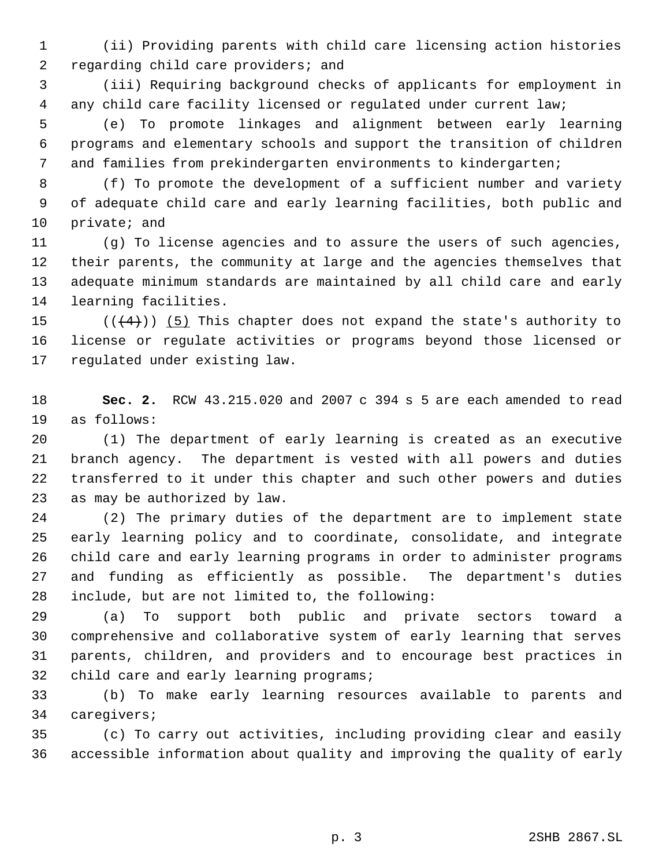(ii) Providing parents with child care licensing action histories regarding child care providers; and

 (iii) Requiring background checks of applicants for employment in any child care facility licensed or regulated under current law;

 (e) To promote linkages and alignment between early learning programs and elementary schools and support the transition of children and families from prekindergarten environments to kindergarten;

 (f) To promote the development of a sufficient number and variety of adequate child care and early learning facilities, both public and private; and

 (g) To license agencies and to assure the users of such agencies, their parents, the community at large and the agencies themselves that adequate minimum standards are maintained by all child care and early learning facilities.

15  $((+4))$  (5) This chapter does not expand the state's authority to license or regulate activities or programs beyond those licensed or regulated under existing law.

 **Sec. 2.** RCW 43.215.020 and 2007 c 394 s 5 are each amended to read as follows:

 (1) The department of early learning is created as an executive branch agency. The department is vested with all powers and duties transferred to it under this chapter and such other powers and duties as may be authorized by law.

 (2) The primary duties of the department are to implement state early learning policy and to coordinate, consolidate, and integrate child care and early learning programs in order to administer programs and funding as efficiently as possible. The department's duties include, but are not limited to, the following:

 (a) To support both public and private sectors toward a comprehensive and collaborative system of early learning that serves parents, children, and providers and to encourage best practices in 32 child care and early learning programs;

 (b) To make early learning resources available to parents and caregivers;

 (c) To carry out activities, including providing clear and easily accessible information about quality and improving the quality of early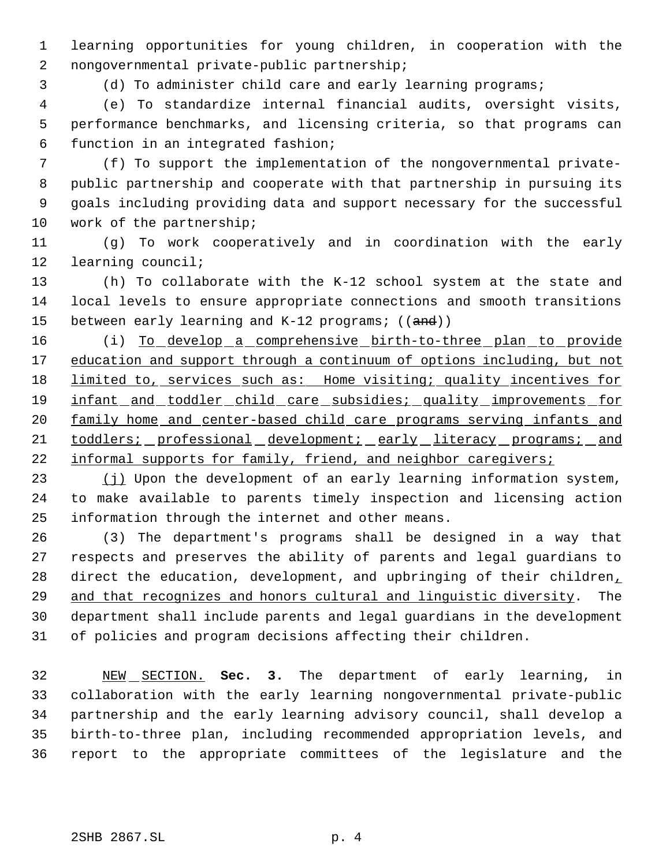learning opportunities for young children, in cooperation with the nongovernmental private-public partnership;

(d) To administer child care and early learning programs;

 (e) To standardize internal financial audits, oversight visits, performance benchmarks, and licensing criteria, so that programs can function in an integrated fashion;

 (f) To support the implementation of the nongovernmental private- public partnership and cooperate with that partnership in pursuing its goals including providing data and support necessary for the successful work of the partnership;

 (g) To work cooperatively and in coordination with the early learning council;

 (h) To collaborate with the K-12 school system at the state and local levels to ensure appropriate connections and smooth transitions 15 between early learning and K-12 programs; ((and))

16 (i) To develop a comprehensive birth-to-three plan to provide 17 education and support through a continuum of options including, but not 18 limited to, services such as: Home visiting; quality incentives for 19 infant and toddler child care subsidies; quality improvements for 20 family home and center-based child care programs serving infants and toddlers; professional development; early literacy programs; and 22 informal supports for family, friend, and neighbor caregivers;

23 (j) Upon the development of an early learning information system, to make available to parents timely inspection and licensing action information through the internet and other means.

 (3) The department's programs shall be designed in a way that respects and preserves the ability of parents and legal guardians to 28 direct the education, development, and upbringing of their children, and that recognizes and honors cultural and linguistic diversity. The department shall include parents and legal guardians in the development of policies and program decisions affecting their children.

 NEW SECTION. **Sec. 3.** The department of early learning, in collaboration with the early learning nongovernmental private-public partnership and the early learning advisory council, shall develop a birth-to-three plan, including recommended appropriation levels, and report to the appropriate committees of the legislature and the